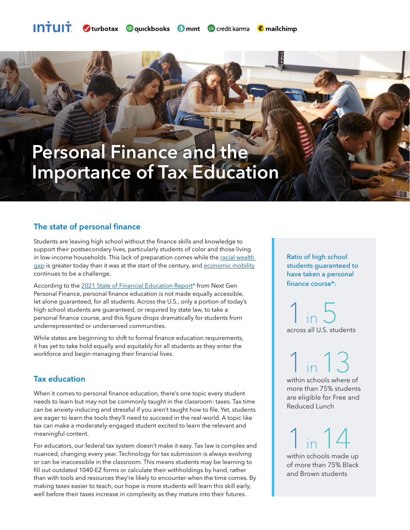## Personal Finance and the Importance of Tax Education

## The state of personal finance

Students are leaving high school without the finance skills and knowledge to support their postsecondary lives, particularly students of color and those living in low-income households. This lack of preparation comes while the racial wealth [gap i](https://www.brookings.edu/blog/up-front/2020/02/27/examining-the-black-white-wealth-gap/)s greater today than it was at the start of the century, and [economic mobility](https://equitablegrowth.org/race-and-the-lack-of-intergenerational-economic-mobility-in-the-united-states/) continues to be a challenge.

According to the [2021 State of Financial Education Report\\*](https://www.ngpf.org/state-of-fin-ed-report-2020-2021/) from Next Gen Personal Finance, personal finance education is not made equally accessible, let alone guaranteed, for all students. Across the U.S., only a portion of today's high school students are guaranteed, or required by state law, to take a personal finance course, and this figure drops dramatically for students from underrepresented or underserved communities.

While states are beginning to shift to formal finance education requirements, it has yet to take hold equally and equitably for all students as they enter the workforce and begin managing their financial lives.

## Tax education

When it comes to personal finance education, there's one topic every student needs to learn but may not be commonly taught in the classroom: taxes. Tax time can be anxiety-inducing and stressful if you aren't taught how to file. Yet, students are eager to learn the tools they'll need to succeed in the real-world. A topic like tax can make a moderately-engaged student excited to learn the relevant and meaningful content.

For educators, our federal tax system doesn't make it easy. Tax law is complex and nuanced, changing every year. Technology for tax submission is always evolving or can be inaccessible in the classroom. This means students may be learning to fill out outdated 1040-EZ forms or calculate their withholdings by hand, rather than with tools and resources they're likely to encounter when the time comes. By making taxes easier to teach, our hope is more students will learn this skill early, well before their taxes increase in complexity as they mature into their futures.

Ratio of high school students guaranteed to have taken a personal finance course\*:

 $1$  in  $5$ across all U.S. students

1 in 13 within schools where of more than 75% students are eligible for Free and Reduced Lunch

1 in 14 within schools made up of more than 75% Black and Brown students